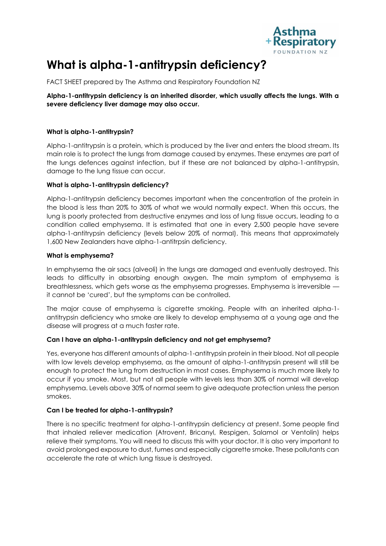

# **What is alpha-1-antitrypsin deficiency?**

FACT SHEET prepared by The Asthma and Respiratory Foundation NZ

**Alpha-1-antitrypsin deficiency is an inherited disorder, which usually affects the lungs. With a severe deficiency liver damage may also occur.** 

## **What is alpha-1-antitrypsin?**

Alpha-1-antitrypsin is a protein, which is produced by the liver and enters the blood stream. Its main role is to protect the lungs from damage caused by enzymes. These enzymes are part of the lungs defences against infection, but if these are not balanced by alpha-1-antitrypsin, damage to the lung tissue can occur.

## **What is alpha-1-antitrypsin deficiency?**

Alpha-1-antitrypsin deficiency becomes important when the concentration of the protein in the blood is less than 20% to 30% of what we would normally expect. When this occurs, the lung is poorly protected from destructive enzymes and loss of lung tissue occurs, leading to a condition called emphysema. It is estimated that one in every 2,500 people have severe alpha-1-antitrypsin deficiency (levels below 20% of normal). This means that approximately 1,600 New Zealanders have alpha-1-antitrpsin deficiency.

## **What is emphysema?**

In emphysema the air sacs (alveoli) in the lungs are damaged and eventually destroyed. This leads to difficulty in absorbing enough oxygen. The main symptom of emphysema is breathlessness, which gets worse as the emphysema progresses. Emphysema is irreversible it cannot be 'cured', but the symptoms can be controlled.

The major cause of emphysema is cigarette smoking. People with an inherited alpha-1 antitrypsin deficiency who smoke are likely to develop emphysema at a young age and the disease will progress at a much faster rate.

# **Can I have an alpha-1-antitrypsin deficiency and not get emphysema?**

Yes, everyone has different amounts of alpha-1-antitrypsin protein in their blood. Not all people with low levels develop emphysema, as the amount of alpha-1-antitrypsin present will still be enough to protect the lung from destruction in most cases. Emphysema is much more likely to occur if you smoke. Most, but not all people with levels less than 30% of normal will develop emphysema. Levels above 30% of normal seem to give adequate protection unless the person smokes.

# **Can I be treated for alpha-1-antitrypsin?**

There is no specific treatment for alpha-1-antitrypsin deficiency at present. Some people find that inhaled reliever medication (Atrovent, Bricanyl, Respigen, Salamol or Ventolin) helps relieve their symptoms. You will need to discuss this with your doctor. It is also very important to avoid prolonged exposure to dust, fumes and especially cigarette smoke. These pollutants can accelerate the rate at which lung tissue is destroyed.